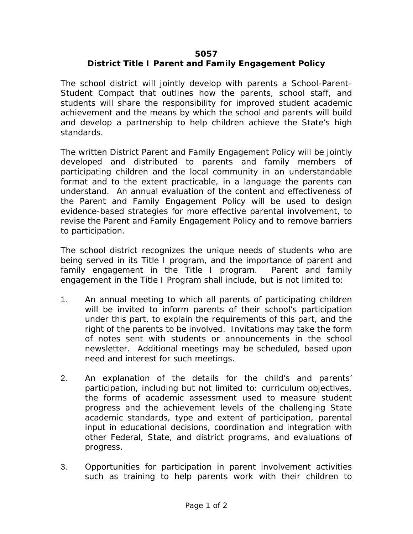## **5057**

## **District Title I Parent and Family Engagement Policy**

The school district will jointly develop with parents a School-Parent-Student Compact that outlines how the parents, school staff, and students will share the responsibility for improved student academic achievement and the means by which the school and parents will build and develop a partnership to help children achieve the State's high standards.

The written District Parent and Family Engagement Policy will be jointly developed and distributed to parents and family members of participating children and the local community in an understandable format and to the extent practicable, in a language the parents can understand. An annual evaluation of the content and effectiveness of the Parent and Family Engagement Policy will be used to design evidence-based strategies for more effective parental involvement, to revise the Parent and Family Engagement Policy and to remove barriers to participation.

The school district recognizes the unique needs of students who are being served in its Title I program, and the importance of parent and family engagement in the Title I program. Parent and family engagement in the Title I Program shall include, but is not limited to:

- 1. An annual meeting to which all parents of participating children will be invited to inform parents of their school's participation under this part, to explain the requirements of this part, and the right of the parents to be involved. Invitations may take the form of notes sent with students or announcements in the school newsletter. Additional meetings may be scheduled, based upon need and interest for such meetings.
- 2. An explanation of the details for the child's and parents' participation, including but not limited to: curriculum objectives, the forms of academic assessment used to measure student progress and the achievement levels of the challenging State academic standards, type and extent of participation, parental input in educational decisions, coordination and integration with other Federal, State, and district programs, and evaluations of progress.
- 3. Opportunities for participation in parent involvement activities such as training to help parents work with their children to